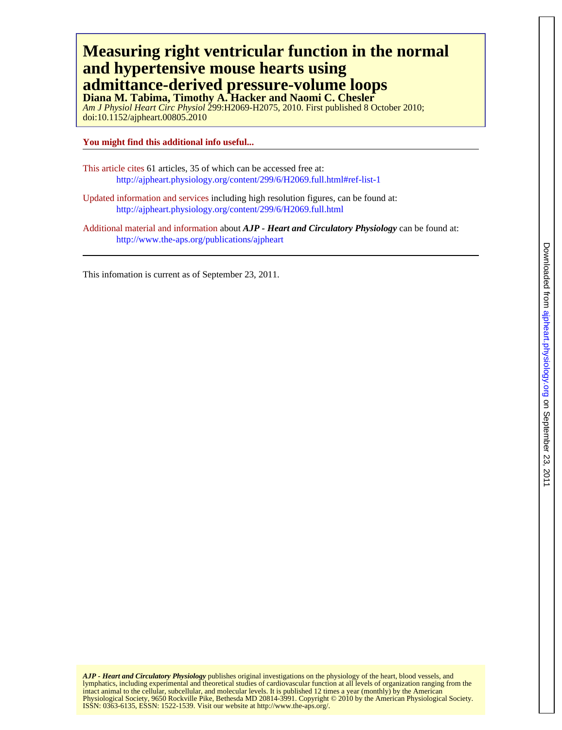# **admittance-derived pressure-volume loops and hypertensive mouse hearts using Measuring right ventricular function in the normal**

*Am J Physiol Heart Circ Physiol* 299:H2069-H2075, 2010. First published 8 October 2010; **Diana M. Tabima, Timothy A. Hacker and Naomi C. Chesler**

doi:10.1152/ajpheart.00805.2010

**You might find this additional info useful...**

This article cites 61 articles, 35 of which can be accessed free at: <http://ajpheart.physiology.org/content/299/6/H2069.full.html#ref-list-1>

Updated information and services including high resolution figures, can be found at: <http://ajpheart.physiology.org/content/299/6/H2069.full.html>

Additional material and information about *AJP - Heart and Circulatory Physiology* can be found at: http://www.the-aps.org/publications/ajpheart

This infomation is current as of September 23, 2011.

ISSN: 0363-6135, ESSN: 1522-1539. Visit our website at http://www.the-aps.org/. Physiological Society, 9650 Rockville Pike, Bethesda MD 20814-3991. Copyright © 2010 by the American Physiological Society. intact animal to the cellular, subcellular, and molecular levels. It is published 12 times a year (monthly) by the American lymphatics, including experimental and theoretical studies of cardiovascular function at all levels of organization ranging from the *AJP - Heart and Circulatory Physiology* publishes original investigations on the physiology of the heart, blood vessels, and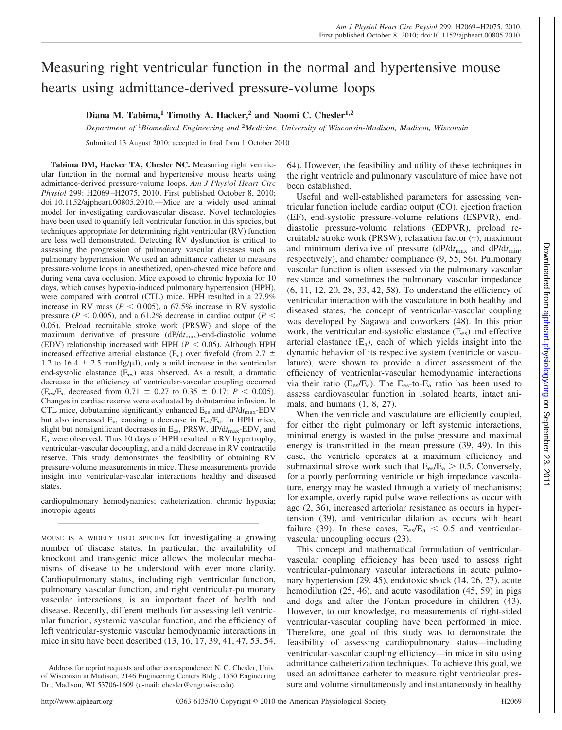# Measuring right ventricular function in the normal and hypertensive mouse hearts using admittance-derived pressure-volume loops

**Diana M. Tabima,<sup>1</sup> Timothy A. Hacker,<sup>2</sup> and Naomi C. Chesler1,2**

*Department of* <sup>1</sup> *Biomedical Engineering and* <sup>2</sup> *Medicine, University of Wisconsin-Madison, Madison, Wisconsin* Submitted 13 August 2010; accepted in final form 1 October 2010

**Tabima DM, Hacker TA, Chesler NC.** Measuring right ventricular function in the normal and hypertensive mouse hearts using admittance-derived pressure-volume loops. *Am J Physiol Heart Circ Physiol* 299: H2069 –H2075, 2010. First published October 8, 2010; doi:10.1152/ajpheart.00805.2010.—Mice are a widely used animal model for investigating cardiovascular disease. Novel technologies have been used to quantify left ventricular function in this species, but techniques appropriate for determining right ventricular (RV) function are less well demonstrated. Detecting RV dysfunction is critical to assessing the progression of pulmonary vascular diseases such as pulmonary hypertension. We used an admittance catheter to measure pressure-volume loops in anesthetized, open-chested mice before and during vena cava occlusion. Mice exposed to chronic hypoxia for 10 days, which causes hypoxia-induced pulmonary hypertension (HPH), were compared with control (CTL) mice. HPH resulted in a 27.9% increase in RV mass ( $P < 0.005$ ), a 67.5% increase in RV systolic pressure ( $P < 0.005$ ), and a 61.2% decrease in cardiac output ( $P <$ 0.05). Preload recruitable stroke work (PRSW) and slope of the maximum derivative of pressure (dP/dt<sub>max</sub>)-end-diastolic volume (EDV) relationship increased with HPH ( $P < 0.05$ ). Although HPH increased effective arterial elastance (E<sub>a</sub>) over fivefold (from 2.7  $\pm$ 1.2 to 16.4  $\pm$  2.5 mmHg/ $\mu$ I), only a mild increase in the ventricular end-systolic elastance (Ees) was observed. As a result, a dramatic decrease in the efficiency of ventricular-vascular coupling occurred  $(E_{es}/E_a$  decreased from 0.71  $\pm$  0.27 to 0.35  $\pm$  0.17;  $P < 0.005$ ). Changes in cardiac reserve were evaluated by dobutamine infusion. In CTL mice, dobutamine significantly enhanced Ees and dP/d*t*max-EDV but also increased Ea, causing a decrease in Ees/Ea. In HPH mice, slight but nonsignificant decreases in Ees, PRSW, dP/d*t*max-EDV, and Ea were observed. Thus 10 days of HPH resulted in RV hypertrophy, ventricular-vascular decoupling, and a mild decrease in RV contractile reserve. This study demonstrates the feasibility of obtaining RV pressure-volume measurements in mice. These measurements provide insight into ventricular-vascular interactions healthy and diseased states.

cardiopulmonary hemodynamics; catheterization; chronic hypoxia; inotropic agents

MOUSE IS A WIDELY USED SPECIES for investigating a growing number of disease states. In particular, the availability of knockout and transgenic mice allows the molecular mechanisms of disease to be understood with ever more clarity. Cardiopulmonary status, including right ventricular function, pulmonary vascular function, and right ventricular-pulmonary vascular interactions, is an important facet of health and disease. Recently, different methods for assessing left ventricular function, systemic vascular function, and the efficiency of left ventricular-systemic vascular hemodynamic interactions in mice in situ have been described (13, 16, 17, 39, 41, 47, 53, 54, 64). However, the feasibility and utility of these techniques in the right ventricle and pulmonary vasculature of mice have not been established.

Useful and well-established parameters for assessing ventricular function include cardiac output (CO), ejection fraction (EF), end-systolic pressure-volume relations (ESPVR), enddiastolic pressure-volume relations (EDPVR), preload recruitable stroke work (PRSW), relaxation factor  $(\tau)$ , maximum and minimum derivative of pressure (dP/dt<sub>max</sub> and dP/dt<sub>min</sub>, respectively), and chamber compliance (9, 55, 56). Pulmonary vascular function is often assessed via the pulmonary vascular resistance and sometimes the pulmonary vascular impedance (6, 11, 12, 20, 28, 33, 42, 58). To understand the efficiency of ventricular interaction with the vasculature in both healthy and diseased states, the concept of ventricular-vascular coupling was developed by Sagawa and coworkers (48). In this prior work, the ventricular end-systolic elastance  $(E_{es})$  and effective arterial elastance  $(E_a)$ , each of which yields insight into the dynamic behavior of its respective system (ventricle or vasculature), were shown to provide a direct assessment of the efficiency of ventricular-vascular hemodynamic interactions via their ratio  $(E_{es}/E_a)$ . The  $E_{es}$ -to- $E_a$  ratio has been used to assess cardiovascular function in isolated hearts, intact animals, and humans (1, 8, 27).

When the ventricle and vasculature are efficiently coupled, for either the right pulmonary or left systemic interactions, minimal energy is wasted in the pulse pressure and maximal energy is transmitted in the mean pressure (39, 49). In this case, the ventricle operates at a maximum efficiency and submaximal stroke work such that  $E_{es}/E_a > 0.5$ . Conversely, for a poorly performing ventricle or high impedance vasculature, energy may be wasted through a variety of mechanisms; for example, overly rapid pulse wave reflections as occur with age (2, 36), increased arteriolar resistance as occurs in hypertension (39), and ventricular dilation as occurs with heart failure (39). In these cases,  $E_{es}/E_a < 0.5$  and ventricularvascular uncoupling occurs (23).

This concept and mathematical formulation of ventricularvascular coupling efficiency has been used to assess right ventricular-pulmonary vascular interactions in acute pulmonary hypertension (29, 45), endotoxic shock (14, 26, 27), acute hemodilution (25, 46), and acute vasodilation (45, 59) in pigs and dogs and after the Fontan procedure in children (43). However, to our knowledge, no measurements of right-sided ventricular-vascular coupling have been performed in mice. Therefore, one goal of this study was to demonstrate the feasibility of assessing cardiopulmonary status—including ventricular-vascular coupling efficiency—in mice in situ using admittance catheterization techniques. To achieve this goal, we used an admittance catheter to measure right ventricular pressure and volume simultaneously and instantaneously in healthy

Address for reprint requests and other correspondence: N. C. Chesler, Univ. of Wisconsin at Madison, 2146 Engineering Centers Bldg., 1550 Engineering Dr., Madison, WI 53706-1609 (e-mail: chesler@engr.wisc.edu).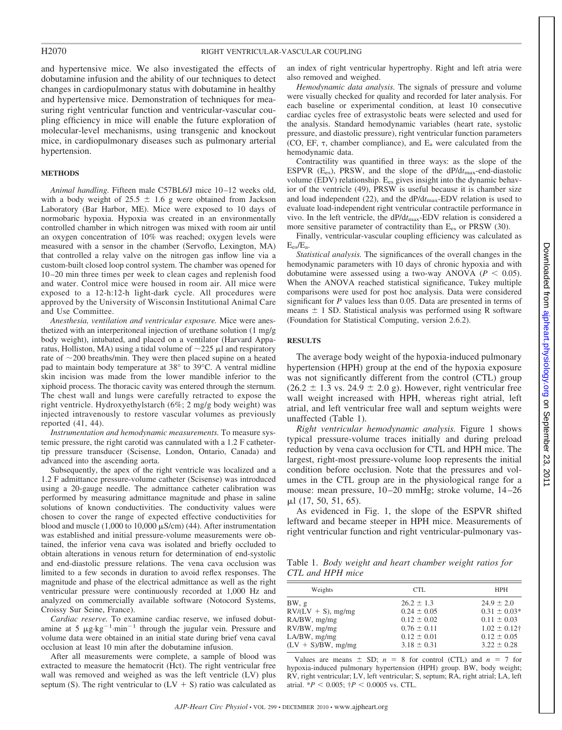and hypertensive mice. We also investigated the effects of dobutamine infusion and the ability of our techniques to detect changes in cardiopulmonary status with dobutamine in healthy and hypertensive mice. Demonstration of techniques for measuring right ventricular function and ventricular-vascular coupling efficiency in mice will enable the future exploration of molecular-level mechanisms, using transgenic and knockout mice, in cardiopulmonary diseases such as pulmonary arterial hypertension.

# **METHODS**

*Animal handling.* Fifteen male C57BL6/J mice 10-12 weeks old, with a body weight of  $25.5 \pm 1.6$  g were obtained from Jackson Laboratory (Bar Harbor, ME). Mice were exposed to 10 days of normobaric hypoxia. Hypoxia was created in an environmentally controlled chamber in which nitrogen was mixed with room air until an oxygen concentration of 10% was reached; oxygen levels were measured with a sensor in the chamber (Servoflo, Lexington, MA) that controlled a relay valve on the nitrogen gas inflow line via a custom-built closed loop control system. The chamber was opened for 10 –20 min three times per week to clean cages and replenish food and water. Control mice were housed in room air. All mice were exposed to a 12-h:12-h light-dark cycle. All procedures were approved by the University of Wisconsin Institutional Animal Care and Use Committee.

*Anesthesia, ventilation and ventricular exposure.* Mice were anesthetized with an interperitoneal injection of urethane solution (1 mg/g body weight), intubated, and placed on a ventilator (Harvard Apparatus, Holliston, MA) using a tidal volume of  $\sim$ 225  $\mu$ l and respiratory rate of  $\sim$ 200 breaths/min. They were then placed supine on a heated pad to maintain body temperature at 38° to 39°C. A ventral midline skin incision was made from the lower mandible inferior to the xiphoid process. The thoracic cavity was entered through the sternum. The chest wall and lungs were carefully retracted to expose the right ventricle. Hydroxyethylstarch (6%; 2 mg/g body weight) was injected intravenously to restore vascular volumes as previously reported (41, 44).

*Instrumentation and hemodynamic measurements.* To measure systemic pressure, the right carotid was cannulated with a 1.2 F cathetertip pressure transducer (Scisense, London, Ontario, Canada) and advanced into the ascending aorta.

Subsequently, the apex of the right ventricle was localized and a 1.2 F admittance pressure-volume catheter (Scisense) was introduced using a 20-gauge needle. The admittance catheter calibration was performed by measuring admittance magnitude and phase in saline solutions of known conductivities. The conductivity values were chosen to cover the range of expected effective conductivities for blood and muscle (1,000 to 10,000  $\mu$ S/cm) (44). After instrumentation was established and initial pressure-volume measurements were obtained, the inferior vena cava was isolated and briefly occluded to obtain alterations in venous return for determination of end-systolic and end-diastolic pressure relations. The vena cava occlusion was limited to a few seconds in duration to avoid reflex responses. The magnitude and phase of the electrical admittance as well as the right ventricular pressure were continuously recorded at 1,000 Hz and analyzed on commercially available software (Notocord Systems, Croissy Sur Seine, France).

*Cardiac reserve.* To examine cardiac reserve, we infused dobutamine at 5  $\mu$ g·kg<sup>-1</sup>·min<sup>-1</sup> through the jugular vein. Pressure and volume data were obtained in an initial state during brief vena caval occlusion at least 10 min after the dobutamine infusion.

After all measurements were complete, a sample of blood was extracted to measure the hematocrit (Hct). The right ventricular free wall was removed and weighed as was the left ventricle (LV) plus septum (S). The right ventricular to  $(LV + S)$  ratio was calculated as an index of right ventricular hypertrophy. Right and left atria were also removed and weighed.

*Hemodynamic data analysis.* The signals of pressure and volume were visually checked for quality and recorded for later analysis. For each baseline or experimental condition, at least 10 consecutive cardiac cycles free of extrasystolic beats were selected and used for the analysis. Standard hemodynamic variables (heart rate, systolic pressure, and diastolic pressure), right ventricular function parameters (CO, EF,  $\tau$ , chamber compliance), and  $E_a$  were calculated from the hemodynamic data.

Contractility was quantified in three ways: as the slope of the ESPVR (E<sub>es</sub>), PRSW, and the slope of the dP/dt<sub>max</sub>-end-diastolic volume (EDV) relationship. E<sub>es</sub> gives insight into the dynamic behavior of the ventricle (49), PRSW is useful because it is chamber size and load independent (22), and the dP/d*t*max-EDV relation is used to evaluate load-independent right ventricular contractile performance in vivo. In the left ventricle, the dP/d*t*max-EDV relation is considered a more sensitive parameter of contractility than  $E_{es}$  or PRSW (30).

Finally, ventricular-vascular coupling efficiency was calculated as Ees/Ea.

*Statistical analysis.* The significances of the overall changes in the hemodynamic parameters with 10 days of chronic hypoxia and with dobutamine were assessed using a two-way ANOVA ( $P < 0.05$ ). When the ANOVA reached statistical significance, Tukey multiple comparisons were used for post hoc analysis. Data were considered significant for *P* values less than 0.05. Data are presented in terms of means  $\pm$  1 SD. Statistical analysis was performed using R software (Foundation for Statistical Computing, version 2.6.2).

# **RESULTS**

The average body weight of the hypoxia-induced pulmonary hypertension (HPH) group at the end of the hypoxia exposure was not significantly different from the control (CTL) group  $(26.2 \pm 1.3 \text{ vs. } 24.9 \pm 2.0 \text{ g})$ . However, right ventricular free wall weight increased with HPH, whereas right atrial, left atrial, and left ventricular free wall and septum weights were unaffected (Table 1).

*Right ventricular hemodynamic analysis.* Figure 1 shows typical pressure-volume traces initially and during preload reduction by vena cava occlusion for CTL and HPH mice. The largest, right-most pressure-volume loop represents the initial condition before occlusion. Note that the pressures and volumes in the CTL group are in the physiological range for a mouse: mean pressure, 10 –20 mmHg; stroke volume, 14 –26 l (17, 50, 51, 65).

As evidenced in Fig. 1, the slope of the ESPVR shifted leftward and became steeper in HPH mice. Measurements of right ventricular function and right ventricular-pulmonary vas-

Table 1. *Body weight and heart chamber weight ratios for CTL and HPH mice*

| Weights               | <b>CTL</b>      | <b>HPH</b>        |
|-----------------------|-----------------|-------------------|
| BW, g                 | $26.2 \pm 1.3$  | $24.9 \pm 2.0$    |
| $RV/(LV + S)$ , mg/mg | $0.24 \pm 0.05$ | $0.31 \pm 0.03*$  |
| RA/BW, mg/mg          | $0.12 \pm 0.02$ | $0.11 \pm 0.03$   |
| RV/BW, mg/mg          | $0.76 \pm 0.11$ | $1.02 \pm 0.12$ † |
| $LA/BW$ , mg/mg       | $0.12 \pm 0.01$ | $0.12 \pm 0.05$   |
| $(LV + S)/BW$ , mg/mg | $3.18 \pm 0.31$ | $3.22 \pm 0.28$   |

Values are means  $\pm$  SD;  $n = 8$  for control (CTL) and  $n = 7$  for hypoxia-induced pulmonary hypertension (HPH) group. BW, body weight; RV, right ventricular; LV, left ventricular; S, septum; RA, right atrial; LA, left atrial.  $*P < 0.005$ ;  $\dagger P < 0.0005$  vs. CTL.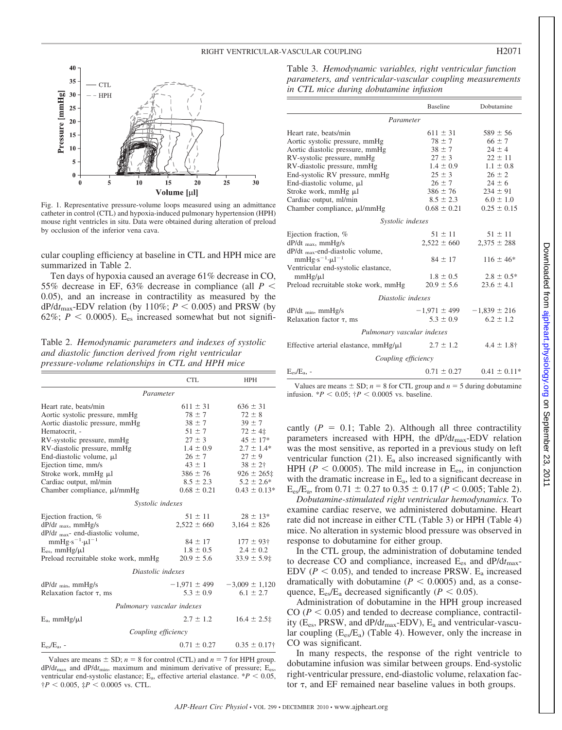

Fig. 1. Representative pressure-volume loops measured using an admittance catheter in control (CTL) and hypoxia-induced pulmonary hypertension (HPH) mouse right ventricles in situ. Data were obtained during alteration of preload by occlusion of the inferior vena cava.

cular coupling efficiency at baseline in CTL and HPH mice are summarized in Table 2.

Ten days of hypoxia caused an average 61% decrease in CO, 55% decrease in EF, 63% decrease in compliance (all *P* 0.05), and an increase in contractility as measured by the  $dP/dt_{\text{max}}$ -EDV relation (by 110%;  $P < 0.005$ ) and PRSW (by 62%;  $P < 0.0005$ ). E<sub>es</sub> increased somewhat but not signifi-

Table 2. *Hemodynamic parameters and indexes of systolic and diastolic function derived from right ventricular pressure-volume relationships in CTL and HPH mice*

|                                                | <b>CTL</b>       | <b>HPH</b>         |
|------------------------------------------------|------------------|--------------------|
| Parameter                                      |                  |                    |
| Heart rate, beats/min                          | $611 \pm 31$     | $636 \pm 31$       |
| Aortic systolic pressure, mmHg                 | $78 \pm 7$       | $72 \pm 8$         |
| Aortic diastolic pressure, mmHg                | $38 \pm 7$       | $39 \pm 7$         |
| Hematocrit, -                                  | $51 \pm 7$       | $72 \pm 4$ ±       |
| RV-systolic pressure, mmHg                     | $27 \pm 3$       | $45 \pm 17*$       |
| RV-diastolic pressure, mmHg                    | $1.4 \pm 0.9$    | $2.7 \pm 1.4*$     |
| End-diastolic volume, $\mu$ l                  | $26 \pm 7$       | $27 \pm 9$         |
| Ejection time, mm/s                            | $43 \pm 1$       | $38 \pm 2^{+}$     |
| Stroke work, mmHg µl                           | $386 \pm 76$     | $926 \pm 265$ ‡    |
| Cardiac output, ml/min                         | $8.5 \pm 2.3$    | $5.2 \pm 2.6^*$    |
| Chamber compliance, $\mu$ l/mmHg               | $0.68 \pm 0.21$  | $0.43 \pm 0.13*$   |
| Systolic indexes                               |                  |                    |
| Ejection fraction, %                           | $51 \pm 11$      | $28 \pm 13*$       |
| $dP/dt$ <sub>max</sub> , mmHg/s                | $2,522 \pm 660$  | $3,164 \pm 826$    |
| $dP/dt$ <sub>max</sub> - end-diastolic volume, |                  |                    |
| $mmHg·s^{-1}·\mu l^{-1}$                       | $84 \pm 17$      | $177 \pm 93$ †     |
| $E_{es}$ , mmHg/ $\mu$ l                       | $1.8 \pm 0.5$    | $2.4 \pm 0.2$      |
| Preload recruitable stoke work, mmHg           | $20.9 \pm 5.6$   | $33.9 \pm 5.9$ :   |
| Diastolic indexes                              |                  |                    |
| $dP/dt$ <sub>min</sub> , mmHg/s                | $-1,971 \pm 499$ | $-3,009 \pm 1,120$ |
| Relaxation factor $\tau$ , ms                  | $5.3 \pm 0.9$    | $6.1 \pm 2.7$      |
| Pulmonary vascular indexes                     |                  |                    |
| $E_a$ , mmHg/ $\mu$ l                          | $2.7 \pm 1.2$    | $16.4 \pm 2.5$ ‡   |
| Coupling efficiency                            |                  |                    |
| $E_{es}/E_{a}$ , -                             | $0.71 \pm 0.27$  | $0.35 \pm 0.17$ †  |
|                                                |                  |                    |

Values are means  $\pm$  SD;  $n = 8$  for control (CTL) and  $n = 7$  for HPH group. dP/d*t*max and dP/d*t*min, maximum and minimum derivative of pressure; Ees, ventricular end-systolic elastance;  $E_a$ , effective arterial elastance.  $*P < 0.05$ ,  $\dagger P < 0.005$ ,  $\ddagger P < 0.0005$  vs. CTL.

Table 3. *Hemodynamic variables, right ventricular function parameters, and ventricular-vascular coupling measurements in CTL mice during dobutamine infusion*

|                                            | <b>Baseline</b>  | Dobutamine       |
|--------------------------------------------|------------------|------------------|
| Parameter                                  |                  |                  |
| Heart rate, beats/min                      | $611 \pm 31$     | $589 \pm 56$     |
| Aortic systolic pressure, mmHg             | $78 \pm 7$       | $66 \pm 7$       |
| Aortic diastolic pressure, mmHg            | $38 \pm 7$       | $24 \pm 4$       |
| RV-systolic pressure, mmHg                 | $27 \pm 3$       | $22 \pm 11$      |
| RV-diastolic pressure, mmHg                | $1.4 \pm 0.9$    | $1.1 \pm 0.8$    |
| End-systolic RV pressure, mmHg             | $25 \pm 3$       | $26 \pm 2$       |
| End-diastolic volume, µl                   | $26 \pm 7$       | $24 \pm 6$       |
| Stroke work, mmHg µl                       | $386 \pm 76$     | $234 \pm 91$     |
| Cardiac output, ml/min                     | $8.5 \pm 2.3$    | $6.0 \pm 1.0$    |
| Chamber compliance, $\mu$ l/mmHg           | $0.68 \pm 0.21$  | $0.25 \pm 0.15$  |
| Systolic indexes                           |                  |                  |
| Ejection fraction, %                       | $51 \pm 11$      | $51 \pm 11$      |
| $dP/dt$ <sub>max</sub> , mmHg/s            | $2,522 \pm 660$  | $2,375 \pm 288$  |
| dP/dt max-end-diastolic volume,            |                  |                  |
| $mmHg·s^{-1}·\mu l^{-1}$                   | $84 \pm 17$      | $116 \pm 46*$    |
| Ventricular end-systolic elastance,        |                  |                  |
| $mmHg/\mu l$                               | $1.8 \pm 0.5$    | $2.8 \pm 0.5^*$  |
| Preload recruitable stoke work, mmHg       | $20.9 \pm 5.6$   | $23.6 \pm 4.1$   |
| Diastolic indexes                          |                  |                  |
| $dP/dt$ <sub>min</sub> , mmHg/s            | $-1,971 \pm 499$ | $-1,839 \pm 216$ |
| Relaxation factor $\tau$ , ms              | $5.3 \pm 0.9$    | $6.2 \pm 1.2$    |
| Pulmonary vascular indexes                 |                  |                  |
| Effective arterial elastance, $mmHg/\mu l$ | $2.7 \pm 1.2$    | $4.4 \pm 1.8$ †  |
| Coupling efficiency                        |                  |                  |
| $\sqrt{2}$                                 |                  | .                |

| $E_{es}/E_a$ , - | $0.71 \pm 0.27$ | $0.41 \pm 0.11*$ |
|------------------|-----------------|------------------|
|                  |                 |                  |

Values are means  $\pm$  SD;  $n = 8$  for CTL group and  $n = 5$  during dobutamine infusion.  $*P < 0.05$ ;  $\dagger P < 0.0005$  vs. baseline.

cantly  $(P = 0.1$ ; Table 2). Although all three contractility parameters increased with HPH, the dP/dt<sub>max</sub>-EDV relation was the most sensitive, as reported in a previous study on left ventricular function  $(21)$ . E<sub>a</sub> also increased significantly with HPH ( $P < 0.0005$ ). The mild increase in  $E_{\text{es}}$ , in conjunction with the dramatic increase in  $E_a$ , led to a significant decrease in  $E_{es}/E_a$ , from 0.71  $\pm$  0.27 to 0.35  $\pm$  0.17 ( $P < 0.005$ ; Table 2).

*Dobutamine-stimulated right ventricular hemodynamics.* To examine cardiac reserve, we administered dobutamine. Heart rate did not increase in either CTL (Table 3) or HPH (Table 4) mice. No alteration in systemic blood pressure was observed in response to dobutamine for either group.

In the CTL group, the administration of dobutamine tended to decrease CO and compliance, increased Ees and dP/d*t*max-EDV ( $P < 0.05$ ), and tended to increase PRSW. E<sub>a</sub> increased dramatically with dobutamine  $(P < 0.0005)$  and, as a consequence,  $E_{es}/E_a$  decreased significantly ( $P < 0.05$ ).

Administration of dobutamine in the HPH group increased CO ( $P < 0.05$ ) and tended to decrease compliance, contractility (Ees, PRSW, and dP/d*t*max-EDV), Ea and ventricular-vascular coupling  $(E_{es}/E_a)$  (Table 4). However, only the increase in CO was significant.

In many respects, the response of the right ventricle to dobutamine infusion was similar between groups. End-systolic right-ventricular pressure, end-diastolic volume, relaxation factor  $\tau$ , and EF remained near baseline values in both groups.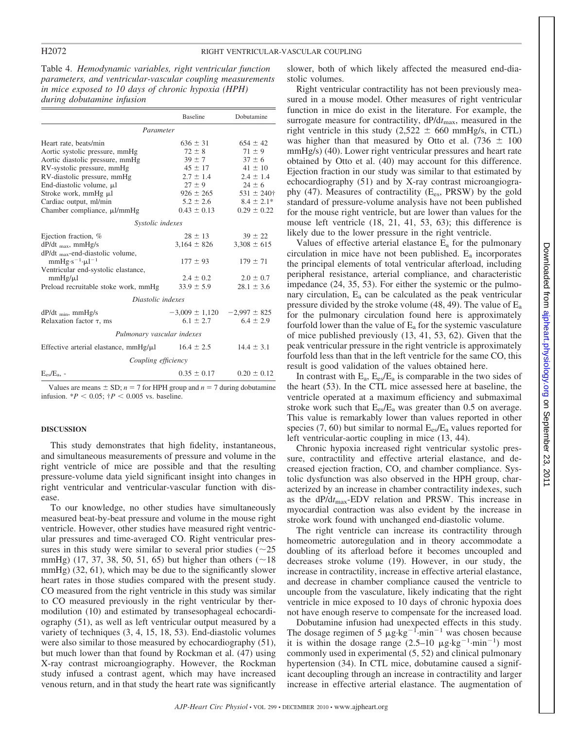Table 4. *Hemodynamic variables, right ventricular function parameters, and ventricular-vascular coupling measurements in mice exposed to 10 days of chronic hypoxia (HPH) during dobutamine infusion*

|                                                                                | <b>Baseline</b>    | Dobutamine       |
|--------------------------------------------------------------------------------|--------------------|------------------|
| Parameter                                                                      |                    |                  |
| Heart rate, beats/min                                                          | $636 \pm 31$       | $654 \pm 42$     |
| Aortic systolic pressure, mmHg                                                 | $72 \pm 8$         | $71 \pm 9$       |
| Aortic diastolic pressure, mmHg                                                | $39 \pm 7$         | $37 \pm 6$       |
| RV-systolic pressure, mmHg                                                     | $45 \pm 17$        | $41 \pm 10$      |
| RV-diastolic pressure, mmHg                                                    | $2.7 \pm 1.4$      | $2.4 \pm 1.4$    |
| End-diastolic volume, $\mu$ l                                                  | $27 \pm 9$         | $24 \pm 6$       |
| Stroke work, mmHg µl                                                           | $926 \pm 265$      | $531 \pm 240$ †  |
| Cardiac output, ml/min                                                         | $5.2 \pm 2.6$      | $8.4 \pm 2.1*$   |
| Chamber compliance, $\mu$ l/mmHg                                               | $0.43 \pm 0.13$    | $0.29 \pm 0.22$  |
| Systolic indexes                                                               |                    |                  |
| Ejection fraction, %                                                           | $28 \pm 13$        | $39 \pm 22$      |
| $dP/dt$ <sub>max</sub> , mmHg/s                                                | $3,164 \pm 826$    | $3,308 \pm 615$  |
| $dP/dt$ <sub>max</sub> -end-diastolic volume,                                  |                    |                  |
| $mmHg·s^{-1}·\mu l^{-1}$                                                       | $177 \pm 93$       | $179 \pm 71$     |
| Ventricular end-systolic elastance,                                            |                    |                  |
| $mmHg/\mu l$                                                                   | $2.4 \pm 0.2$      | $2.0 \pm 0.7$    |
| Preload recruitable stoke work, mmHg                                           | $33.9 \pm 5.9$     | $28.1 \pm 3.6$   |
| Diastolic indexes                                                              |                    |                  |
| $dP/dt$ <sub>min</sub> , mmHg/s                                                | $-3,009 \pm 1,120$ | $-2,997 \pm 825$ |
| Relaxation factor $\tau$ , ms                                                  | $6.1 \pm 2.7$      | $6.4 \pm 2.9$    |
| Pulmonary vascular indexes                                                     |                    |                  |
| Effective arterial elastance, $mmHg/\mu l$                                     | $16.4 \pm 2.5$     | $14.4 \pm 3.1$   |
| Coupling efficiency                                                            |                    |                  |
| $E_{es}/E_{a}$ , -                                                             | $0.35 \pm 0.17$    | $0.20 \pm 0.12$  |
| Values are means $\pm$ SD: $n = 7$ for HPH group and $n = 7$ during dobutaming |                    |                  |

Values are means  $\pm$  $\pm$  SD;  $n = 7$  for HPH group and  $n = 7$  during dobutamine infusion.  $*P < 0.05$ ;  $\uparrow P < 0.005$  vs. baseline.

# **DISCUSSION**

This study demonstrates that high fidelity, instantaneous, and simultaneous measurements of pressure and volume in the right ventricle of mice are possible and that the resulting pressure-volume data yield significant insight into changes in right ventricular and ventricular-vascular function with disease.

To our knowledge, no other studies have simultaneously measured beat-by-beat pressure and volume in the mouse right ventricle. However, other studies have measured right ventricular pressures and time-averaged CO. Right ventricular pressures in this study were similar to several prior studies  $(\sim 25$ mmHg) (17, 37, 38, 50, 51, 65) but higher than others  $($   $\sim$  18 mmHg) (32, 61), which may be due to the significantly slower heart rates in those studies compared with the present study. CO measured from the right ventricle in this study was similar to CO measured previously in the right ventricular by thermodilution (10) and estimated by transesophageal echocardiography (51), as well as left ventricular output measured by a variety of techniques (3, 4, 15, 18, 53). End-diastolic volumes were also similar to those measured by echocardiography (51), but much lower than that found by Rockman et al. (47) using X-ray contrast microangiography. However, the Rockman study infused a contrast agent, which may have increased venous return, and in that study the heart rate was significantly slower, both of which likely affected the measured end-diastolic volumes.

Right ventricular contractility has not been previously measured in a mouse model. Other measures of right ventricular function in mice do exist in the literature. For example, the surrogate measure for contractility, dP/dt<sub>max</sub>, measured in the right ventricle in this study  $(2,522 \pm 660 \text{ mmHg/s}, \text{ in CTL})$ was higher than that measured by Otto et al. (736  $\pm$  100 mmHg/s) (40). Lower right ventricular pressures and heart rate obtained by Otto et al. (40) may account for this difference. Ejection fraction in our study was similar to that estimated by echocardiography (51) and by X-ray contrast microangiography  $(47)$ . Measures of contractility  $(E_{es}, PRSW)$  by the gold standard of pressure-volume analysis have not been published for the mouse right ventricle, but are lower than values for the mouse left ventricle (18, 21, 41, 53, 63); this difference is likely due to the lower pressure in the right ventricle.

Values of effective arterial elastance  $E_a$  for the pulmonary circulation in mice have not been published. Ea incorporates the principal elements of total ventricular afterload, including peripheral resistance, arterial compliance, and characteristic impedance (24, 35, 53). For either the systemic or the pulmonary circulation, Ea can be calculated as the peak ventricular pressure divided by the stroke volume  $(48, 49)$ . The value of  $E_a$ for the pulmonary circulation found here is approximately fourfold lower than the value of  $E_a$  for the systemic vasculature of mice published previously (13, 41, 53, 62). Given that the peak ventricular pressure in the right ventricle is approximately fourfold less than that in the left ventricle for the same CO, this result is good validation of the values obtained here.

In contrast with  $E_a$ ,  $E_e$ <sub>s</sub> $/E_a$  is comparable in the two sides of the heart (53). In the CTL mice assessed here at baseline, the ventricle operated at a maximum efficiency and submaximal stroke work such that  $E_{es}/E_a$  was greater than 0.5 on average. This value is remarkably lower than values reported in other species (7, 60) but similar to normal  $E_{es}/E_a$  values reported for left ventricular-aortic coupling in mice (13, 44).

Chronic hypoxia increased right ventricular systolic pressure, contractility and effective arterial elastance, and decreased ejection fraction, CO, and chamber compliance. Systolic dysfunction was also observed in the HPH group, characterized by an increase in chamber contractility indexes, such as the dP/d*t*max-EDV relation and PRSW. This increase in myocardial contraction was also evident by the increase in stroke work found with unchanged end-diastolic volume.

The right ventricle can increase its contractility through homeometric autoregulation and in theory accommodate a doubling of its afterload before it becomes uncoupled and decreases stroke volume (19). However, in our study, the increase in contractility, increase in effective arterial elastance, and decrease in chamber compliance caused the ventricle to uncouple from the vasculature, likely indicating that the right ventricle in mice exposed to 10 days of chronic hypoxia does not have enough reserve to compensate for the increased load.

Dobutamine infusion had unexpected effects in this study. The dosage regimen of 5  $\mu$ g·kg<sup>-1</sup>·min<sup>-1</sup> was chosen because it is within the dosage range  $(2.5-10 \mu g \cdot kg^{-1} \cdot min^{-1})$  most commonly used in experimental (5, 52) and clinical pulmonary hypertension (34). In CTL mice, dobutamine caused a significant decoupling through an increase in contractility and larger increase in effective arterial elastance. The augmentation of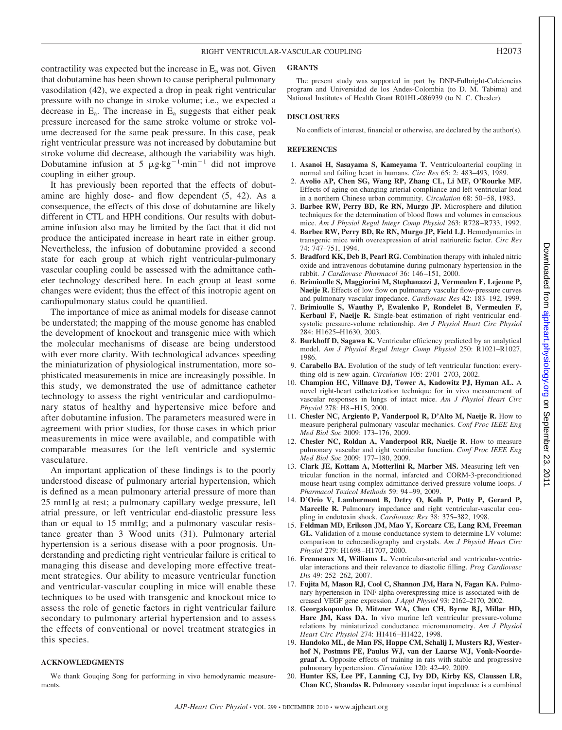contractility was expected but the increase in  $E_a$  was not. Given that dobutamine has been shown to cause peripheral pulmonary vasodilation (42), we expected a drop in peak right ventricular pressure with no change in stroke volume; i.e., we expected a decrease in  $E_a$ . The increase in  $E_a$  suggests that either peak pressure increased for the same stroke volume or stroke volume decreased for the same peak pressure. In this case, peak right ventricular pressure was not increased by dobutamine but stroke volume did decrease, although the variability was high. Dobutamine infusion at 5  $\mu$ g·kg<sup>-1</sup>·min<sup>-1</sup> did not improve coupling in either group.

It has previously been reported that the effects of dobutamine are highly dose- and flow dependent (5, 42). As a consequence, the effects of this dose of dobutamine are likely different in CTL and HPH conditions. Our results with dobutamine infusion also may be limited by the fact that it did not produce the anticipated increase in heart rate in either group. Nevertheless, the infusion of dobutamine provided a second state for each group at which right ventricular-pulmonary vascular coupling could be assessed with the admittance catheter technology described here. In each group at least some changes were evident; thus the effect of this inotropic agent on cardiopulmonary status could be quantified.

The importance of mice as animal models for disease cannot be understated; the mapping of the mouse genome has enabled the development of knockout and transgenic mice with which the molecular mechanisms of disease are being understood with ever more clarity. With technological advances speeding the miniaturization of physiological instrumentation, more sophisticated measurements in mice are increasingly possible. In this study, we demonstrated the use of admittance catheter technology to assess the right ventricular and cardiopulmonary status of healthy and hypertensive mice before and after dobutamine infusion. The parameters measured were in agreement with prior studies, for those cases in which prior measurements in mice were available, and compatible with comparable measures for the left ventricle and systemic vasculature.

An important application of these findings is to the poorly understood disease of pulmonary arterial hypertension, which is defined as a mean pulmonary arterial pressure of more than 25 mmHg at rest; a pulmonary capillary wedge pressure, left atrial pressure, or left ventricular end-diastolic pressure less than or equal to 15 mmHg; and a pulmonary vascular resistance greater than 3 Wood units (31). Pulmonary arterial hypertension is a serious disease with a poor prognosis. Understanding and predicting right ventricular failure is critical to managing this disease and developing more effective treatment strategies. Our ability to measure ventricular function and ventricular-vascular coupling in mice will enable these techniques to be used with transgenic and knockout mice to assess the role of genetic factors in right ventricular failure secondary to pulmonary arterial hypertension and to assess the effects of conventional or novel treatment strategies in this species.

# **ACKNOWLEDGMENTS**

We thank Gouqing Song for performing in vivo hemodynamic measurements.

#### **GRANTS**

The present study was supported in part by DNP-Fulbright-Colciencias program and Universidad de los Andes-Colombia (to D. M. Tabima) and National Institutes of Health Grant R01HL-086939 (to N. C. Chesler).

### **DISCLOSURES**

No conflicts of interest, financial or otherwise, are declared by the author(s).

# **REFERENCES**

- 1. **Asanoi H, Sasayama S, Kameyama T.** Ventriculoarterial coupling in normal and failing heart in humans. *Circ Res* 65: 2: 483–493, 1989.
- 2. **Avolio AP, Chen SG, Wang RP, Zhang CL, Li MF, O'Rourke MF.** Effects of aging on changing arterial compliance and left ventricular load in a northern Chinese urban community. *Circulation* 68: 50–58, 1983.
- 3. **Barbee RW, Perry BD, Re RN, Murgo JP.** Microsphere and dilution techniques for the determination of blood flows and volumes in conscious mice. *Am J Physiol Regul Integr Comp Physiol* 263: R728 –R733, 1992.
- 4. **Barbee RW, Perry BD, Re RN, Murgo JP, Field LJ.** Hemodynamics in transgenic mice with overexpression of atrial natriuretic factor. *Circ Res* 74: 747–751, 1994.
- 5. **Bradford KK, Deb B, Pearl RG.** Combination therapy with inhaled nitric oxide and intravenous dobutamine during pulmonary hypertension in the rabbit. *J Cardiovasc Pharmacol* 36: 146 –151, 2000.
- 6. **Brimioulle S, Maggiorini M, Stephanazzi J, Vermeulen F, Lejeune P,** Naeije R. Effects of low flow on pulmonary vascular flow-pressure curves and pulmonary vascular impedance. *Cardiovasc Res* 42: 183–192, 1999.
- 7. **Brimioulle S, Wauthy P, Ewalenko P, Rondelet B, Vermeulen F, Kerbaul F, Naeije R.** Single-beat estimation of right ventricular endsystolic pressure-volume relationship. *Am J Physiol Heart Circ Physiol* 284: H1625–H1630, 2003.
- 8. **Burkhoff D, Sagawa K.** Ventricular efficiency predicted by an analytical model. *Am J Physiol Regul Integr Comp Physiol* 250: R1021–R1027, 1986.
- 9. **Carabello BA.** Evolution of the study of left ventricular function: everything old is new again. *Circulation* 105: 2701–2703, 2002.
- 10. **Champion HC, Villnave DJ, Tower A, Kadowitz PJ, Hyman AL.** A novel right-heart catheterization technique for in vivo measurement of vascular responses in lungs of intact mice. *Am J Physiol Heart Circ Physiol* 278: H8 –H15, 2000.
- 11. **Chesler NC, Argiento P, Vanderpool R, D'Alto M, Naeije R.** How to measure peripheral pulmonary vascular mechanics. *Conf Proc IEEE Eng Med Biol Soc* 2009: 173–176, 2009.
- 12. **Chesler NC, Roldan A, Vanderpool RR, Naeije R.** How to measure pulmonary vascular and right ventricular function. *Conf Proc IEEE Eng Med Biol Soc* 2009: 177–180, 2009.
- 13. **Clark JE, Kottam A, Motterlini R, Marber MS.** Measuring left ventricular function in the normal, infarcted and CORM-3-preconditioned mouse heart using complex admittance-derived pressure volume loops. *J Pharmacol Toxicol Methods* 59: 94 –99, 2009.
- 14. **D'Orio V, Lambermont B, Detry O, Kolh P, Potty P, Gerard P, Marcelle R.** Pulmonary impedance and right ventricular-vascular coupling in endotoxin shock. *Cardiovasc Res* 38: 375–382, 1998.
- 15. **Feldman MD, Erikson JM, Mao Y, Korcarz CE, Lang RM, Freeman GL.** Validation of a mouse conductance system to determine LV volume: comparison to echocardiography and crystals. *Am J Physiol Heart Circ Physiol* 279: H1698 –H1707, 2000.
- 16. **Frenneaux M, Williams L.** Ventricular-arterial and ventricular-ventricular interactions and their relevance to diastolic filling. *Prog Cardiovasc Dis* 49: 252–262, 2007.
- 17. **Fujita M, Mason RJ, Cool C, Shannon JM, Hara N, Fagan KA.** Pulmonary hypertension in TNF-alpha-overexpressing mice is associated with decreased VEGF gene expression. *J Appl Physiol* 93: 2162–2170, 2002.
- 18. **Georgakopoulos D, Mitzner WA, Chen CH, Byrne BJ, Millar HD, Hare JM, Kass DA.** In vivo murine left ventricular pressure-volume relations by miniaturized conductance micromanometry. *Am J Physiol Heart Circ Physiol* 274: H1416 –H1422, 1998.
- 19. **Handoko ML, de Man FS, Happe CM, Schalij I, Musters RJ, Westerhof N, Postmus PE, Paulus WJ, van der Laarse WJ, Vonk-Noordegraaf A.** Opposite effects of training in rats with stable and progressive pulmonary hypertension. *Circulation* 120: 42–49, 2009.
- 20. **Hunter KS, Lee PF, Lanning CJ, Ivy DD, Kirby KS, Claussen LR, Chan KC, Shandas R.** Pulmonary vascular input impedance is a combined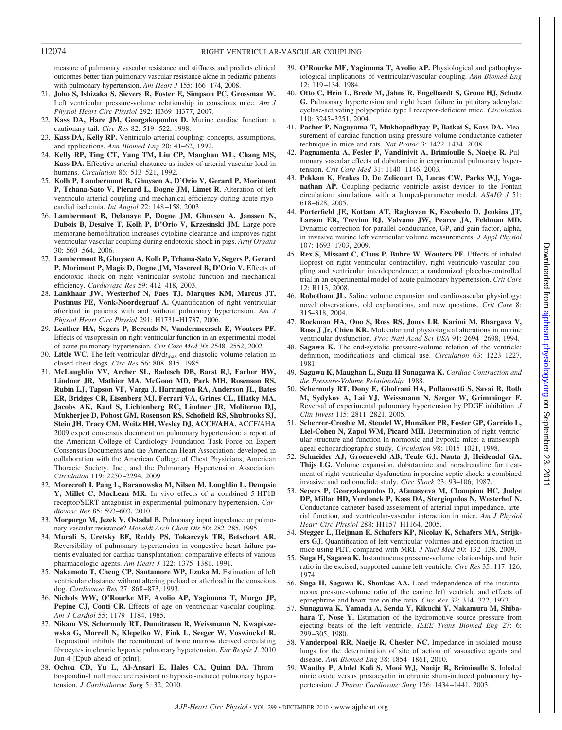# H2074 RIGHT VENTRICULAR-VASCULAR COUPLING

measure of pulmonary vascular resistance and stiffness and predicts clinical outcomes better than pulmonary vascular resistance alone in pediatric patients with pulmonary hypertension. Am Heart J 155: 166-174, 2008.

- 21. **Joho S, Ishizaka S, Sievers R, Foster E, Simpson PC, Grossman W.** Left ventricular pressure-volume relationship in conscious mice. *Am J Physiol Heart Circ Physiol* 292: H369 –H377, 2007.
- 22. **Kass DA, Hare JM, Georgakopoulos D.** Murine cardiac function: a cautionary tail. *Circ Res* 82: 519 –522, 1998.
- 23. **Kass DA, Kelly RP.** Ventriculo-arterial coupling: concepts, assumptions, and applications. *Ann Biomed Eng* 20: 41–62, 1992.
- 24. **Kelly RP, Ting CT, Yang TM, Liu CP, Maughan WL, Chang MS, Kass DA.** Effective arterial elastance as index of arterial vascular load in humans. *Circulation* 86: 513–521, 1992.
- 25. **Kolh P, Lambermont B, Ghuysen A, D'Orio V, Gerard P, Morimont P, Tchana-Sato V, Pierard L, Dogne JM, Limet R.** Alteration of left ventriculo-arterial coupling and mechanical efficiency during acute myocardial ischemia. *Int Angiol* 22: 148 –158, 2003.
- 26. **Lambermont B, Delanaye P, Dogne JM, Ghuysen A, Janssen N, Dubois B, Desaive T, Kolh P, D'Orio V, Krzesinski JM.** Large-pore membrane hemofiltration increases cytokine clearance and improves right ventricular-vascular coupling during endotoxic shock in pigs. *Artif Organs* 30: 560 –564, 2006.
- 27. **Lambermont B, Ghuysen A, Kolh P, Tchana-Sato V, Segers P, Gerard P, Morimont P, Magis D, Dogne JM, Masereel B, D'Orio V.** Effects of endotoxic shock on right ventricular systolic function and mechanical efficiency. *Cardiovasc Res* 59: 412–418, 2003.
- 28. **Lankhaar JW, Westerhof N, Faes TJ, Marques KM, Marcus JT,** Postmus PE, Vonk-Noordegraaf A. Quantification of right ventricular afterload in patients with and without pulmonary hypertension. *Am J Physiol Heart Circ Physiol* 291: H1731–H1737, 2006.
- 29. **Leather HA, Segers P, Berends N, Vandermeersch E, Wouters PF.** Effects of vasopressin on right ventricular function in an experimental model of acute pulmonary hypertension. *Crit Care Med* 30: 2548 –2552, 2002.
- Little WC. The left ventricular dP/dt<sub>max</sub>-end-diastolic volume relation in closed-chest dogs. *Circ Res* 56: 808 –815, 1985.
- 31. **McLaughlin VV, Archer SL, Badesch DB, Barst RJ, Farber HW, Lindner JR, Mathier MA, McGoon MD, Park MH, Rosenson RS, Rubin LJ, Tapson VF, Varga J, Harrington RA, Anderson JL, Bates ER, Bridges CR, Eisenberg MJ, Ferrari VA, Grines CL, Hlatky MA, Jacobs AK, Kaul S, Lichtenberg RC, Lindner JR, Moliterno DJ, Mukherjee D, Pohost GM, Rosenson RS, Schofield RS, Shubrooks SJ, Stein JH, Tracy CM, Weitz HH, Wesley DJ, ACCF/AHA.** ACCF/AHA 2009 expert consensus document on pulmonary hypertension: a report of the American College of Cardiology Foundation Task Force on Expert Consensus Documents and the American Heart Association: developed in collaboration with the American College of Chest Physicians, American Thoracic Society, Inc., and the Pulmonary Hypertension Association. *Circulation* 119: 2250 –2294, 2009.
- 32. **Morecroft I, Pang L, Baranowska M, Nilsen M, Loughlin L, Dempsie Y, Millet C, MacLean MR.** In vivo effects of a combined 5-HT1B receptor/SERT antagonist in experimental pulmonary hypertension. *Cardiovasc Res* 85: 593–603, 2010.
- 33. **Morpurgo M, Jezek V, Ostadal B.** Pulmonary input impedance or pulmonary vascular resistance? *Monaldi Arch Chest Dis* 50: 282–285, 1995.
- 34. **Murali S, Uretsky BF, Reddy PS, Tokarczyk TR, Betschart AR.** Reversibility of pulmonary hypertension in congestive heart failure patients evaluated for cardiac transplantation: comparative effects of various pharmacologic agents. *Am Heart J* 122: 1375–1381, 1991.
- 35. **Nakamoto T, Cheng CP, Santamore WP, Iizuka M.** Estimation of left ventricular elastance without altering preload or afterload in the conscious dog. *Cardiovasc Res* 27: 868 –873, 1993.
- 36. **Nichols WW, O'Rourke MF, Avolio AP, Yaginuma T, Murgo JP,** Pepine CJ, Conti CR. Effects of age on ventricular-vascular coupling. *Am J Cardiol* 55: 1179 –1184, 1985.
- 37. **Nikam VS, Schermuly RT, Dumitrascu R, Weissmann N, Kwapiszewska G, Morrell N, Klepetko W, Fink L, Seeger W, Voswinckel R.** Treprostinil inhibits the recruitment of bone marrow derived circulating fibrocytes in chronic hypoxic pulmonary hypertension. *Eur Respir J*. 2010 Jun 4 [Epub ahead of print].
- 38. **Ochoa CD, Yu L, Al-Ansari E, Hales CA, Quinn DA.** Thrombospondin-1 null mice are resistant to hypoxia-induced pulmonary hypertension. *J Cardiothorac Surg* 5: 32, 2010.
- 39. **O'Rourke MF, Yaginuma T, Avolio AP.** Physiological and pathophysiological implications of ventricular/vascular coupling. *Ann Biomed Eng* 12: 119 –134, 1984.
- 40. **Otto C, Hein L, Brede M, Jahns R, Engelhardt S, Grone HJ, Schutz G.** Pulmonary hypertension and right heart failure in pituitary adenylate cyclase-activating polypeptide type I receptor-deficient mice. *Circulation* 110: 3245–3251, 2004.
- 41. **Pacher P, Nagayama T, Mukhopadhyay P, Batkai S, Kass DA.** Measurement of cardiac function using pressure-volume conductance catheter technique in mice and rats. *Nat Protoc* 3: 1422–1434, 2008.
- 42. **Pagnamenta A, Fesler P, Vandinivit A, Brimioulle S, Naeije R.** Pulmonary vascular effects of dobutamine in experimental pulmonary hypertension. *Crit Care Med* 31: 1140 –1146, 2003.
- 43. **Pekkan K, Frakes D, De Zelicourt D, Lucas CW, Parks WJ, Yoganathan AP.** Coupling pediatric ventricle assist devices to the Fontan circulation: simulations with a lumped-parameter model. *ASAIO J* 51: 618 –628, 2005.
- 44. **Porterfield JE, Kottam AT, Raghavan K, Escobedo D, Jenkins JT, Larson ER, Trevino RJ, Valvano JW, Pearce JA, Feldman MD.** Dynamic correction for parallel conductance, GP, and gain factor, alpha, in invasive murine left ventricular volume measurements. *J Appl Physiol* 107: 1693–1703, 2009.
- 45. **Rex S, Missant C, Claus P, Buhre W, Wouters PF.** Effects of inhaled iloprost on right ventricular contractility, right ventriculo-vascular coupling and ventricular interdependence: a randomized placebo-controlled trial in an experimental model of acute pulmonary hypertension. *Crit Care*  $12 \cdot R113$ , 2008.
- 46. **Robotham JL.** Saline volume expansion and cardiovascular physiology: novel observations, old explanations, and new questions. *Crit Care* 8: 315–318, 2004.
- 47. **Rockman HA, Ono S, Ross RS, Jones LR, Karimi M, Bhargava V, Ross J Jr, Chien KR.** Molecular and physiological alterations in murine ventricular dysfunction. *Proc Natl Acad Sci USA* 91: 2694 –2698, 1994.
- 48. **Sagawa K.** The end-systolic pressure-volume relation of the ventricle: definition, modifications and clinical use. *Circulation* 63: 1223–1227, 1981.
- 49. **Sagawa K, Maughan L, Suga H Sunagawa K.** *Cardiac Contraction and the Pressure-Volume Relationship.* 1988.
- 50. **Schermuly RT, Dony E, Ghofrani HA, Pullamsetti S, Savai R, Roth M, Sydykov A, Lai YJ, Weissmann N, Seeger W, Grimminger F.** Reversal of experimental pulmonary hypertension by PDGF inhibition. *J Clin Invest* 115: 2811–2821, 2005.
- 51. **Scherrer-Crosbie M, Steudel W, Hunziker PR, Foster GP, Garrido L, Liel-Cohen N, Zapol WM, Picard MH.** Determination of right ventricular structure and function in normoxic and hypoxic mice: a transesophageal echocardiographic study. *Circulation* 98: 1015–1021, 1998.
- 52. **Schneider AJ, Groeneveld AB, Teule GJ, Nauta J, Heidendal GA, Thijs LG.** Volume expansion, dobutamine and noradrenaline for treatment of right ventricular dysfunction in porcine septic shock: a combined invasive and radionuclide study. *Circ Shock* 23: 93–106, 1987.
- 53. **Segers P, Georgakopoulos D, Afanasyeva M, Champion HC, Judge DP, Millar HD, Verdonck P, Kass DA, Stergiopulos N, Westerhof N.** Conductance catheter-based assessment of arterial input impedance, arterial function, and ventricular-vascular interaction in mice. *Am J Physiol Heart Circ Physiol* 288: H1157–H1164, 2005.
- 54. **Stegger L, Heijman E, Schafers KP, Nicolay K, Schafers MA, Strijkers GJ.** Quantification of left ventricular volumes and ejection fraction in mice using PET, compared with MRI. *J Nucl Med* 50: 132–138, 2009.
- 55. **Suga H, Sagawa K.** Instantaneous pressure-volume relationships and their ratio in the excised, supported canine left ventricle. *Circ Res* 35: 117–126, 1974.
- 56. **Suga H, Sagawa K, Shoukas AA.** Load independence of the instantaneous pressure-volume ratio of the canine left ventricle and effects of epinephrine and heart rate on the ratio. *Circ Res* 32: 314 –322, 1973.
- 57. **Sunagawa K, Yamada A, Senda Y, Kikuchi Y, Nakamura M, Shibahara T, Nose Y.** Estimation of the hydromotive source pressure from ejecting beats of the left ventricle. *IEEE Trans Biomed Eng* 27: 6: 299 –305, 1980.
- 58. **Vanderpool RR, Naeije R, Chesler NC.** Impedance in isolated mouse lungs for the determination of site of action of vasoactive agents and disease. *Ann Biomed Eng* 38: 1854 –1861, 2010.
- 59. **Wauthy P, Abdel Kafi S, Mooi WJ, Naeije R, Brimioulle S.** Inhaled nitric oxide versus prostacyclin in chronic shunt-induced pulmonary hypertension. *J Thorac Cardiovasc Surg* 126: 1434 –1441, 2003.